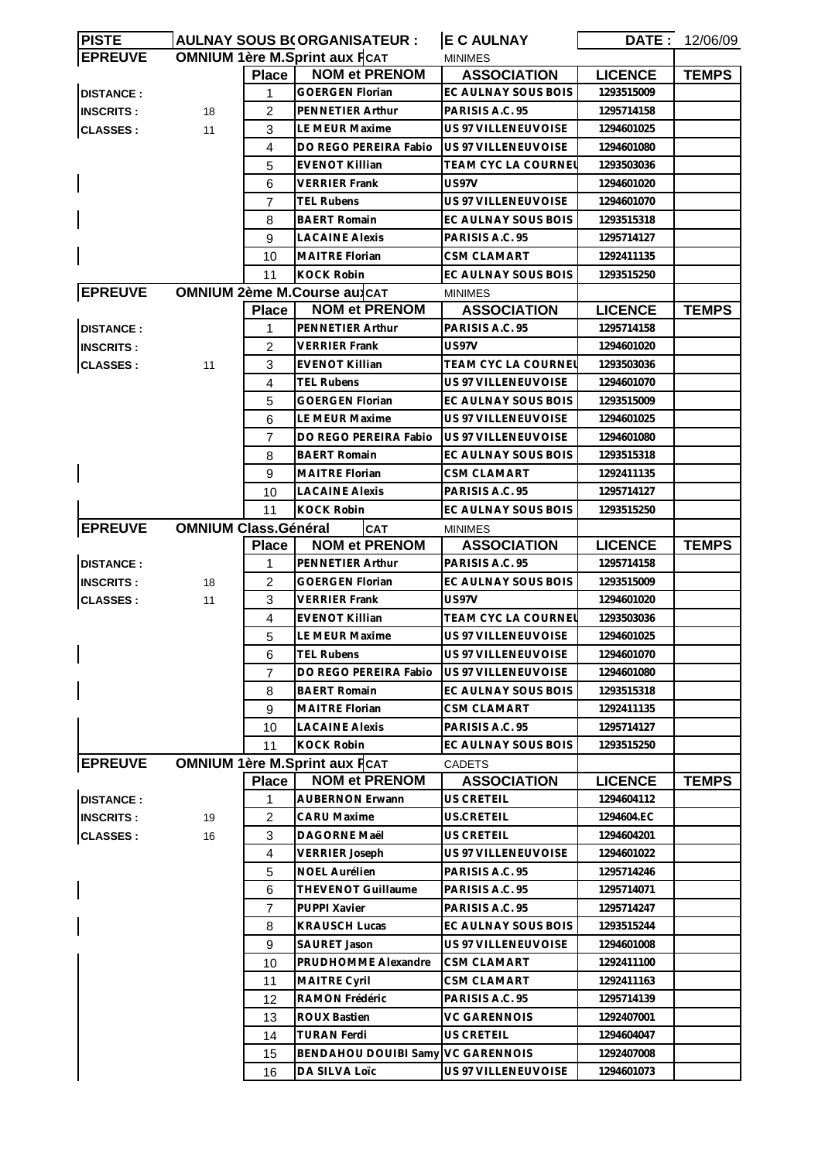| <b>PISTE</b>     |                             |                | <b>AULNAY SOUS B(ORGANISATEUR:</b>   | <b>E C AULNAY</b>          |                | <b>DATE: 12/06/09</b> |
|------------------|-----------------------------|----------------|--------------------------------------|----------------------------|----------------|-----------------------|
| <b>EPREUVE</b>   |                             |                | <b>OMNIUM 1ère M.Sprint aux FCAT</b> | <b>MINIMES</b>             |                |                       |
|                  |                             | <b>Place</b>   | <b>NOM et PRENOM</b>                 | <b>ASSOCIATION</b>         | <b>LICENCE</b> | <b>TEMPS</b>          |
| <b>DISTANCE:</b> |                             | 1              | <b>GOERGEN Florian</b>               | EC AULNAY SOUS BOIS        | 1293515009     |                       |
| <b>INSCRITS:</b> | 18                          | $\overline{2}$ | PENNETIER Arthur                     | PARISIS A.C. 95            | 1295714158     |                       |
| <b>CLASSES:</b>  | 11                          | 3              | LE MEUR Maxime                       | US 97 VILLENEUVOISE        | 1294601025     |                       |
|                  |                             | 4              | DO REGO PEREIRA Fabio                | US 97 VILLENEUVOISE        | 1294601080     |                       |
|                  |                             | 5              | EVENOT Killian                       | TEAM CYC LA COURNEI        | 1293503036     |                       |
|                  |                             | 6              | <b>VERRIER Frank</b>                 | US97V                      | 1294601020     |                       |
|                  |                             | $\overline{7}$ | <b>TEL Rubens</b>                    | <b>US 97 VILLENEUVOISE</b> | 1294601070     |                       |
|                  |                             | 8              | <b>BAERT Romain</b>                  | EC AULNAY SOUS BOIS        | 1293515318     |                       |
|                  |                             | 9              | <b>LACAINE Alexis</b>                | PARISIS A.C. 95            | 1295714127     |                       |
|                  |                             | 10             | <b>MAITRE Florian</b>                | CSM CLAMART                | 1292411135     |                       |
|                  |                             | 11             | <b>KOCK Robin</b>                    | EC AULNAY SOUS BOIS        | 1293515250     |                       |
| <b>EPREUVE</b>   |                             |                | <b>OMNIUM 2ème M.Course au CAT</b>   | <b>MINIMES</b>             |                |                       |
|                  |                             | <b>Place</b>   | <b>NOM et PRENOM</b>                 | <b>ASSOCIATION</b>         | <b>LICENCE</b> | <b>TEMPS</b>          |
| <b>DISTANCE:</b> |                             | 1              | PENNETIER Arthur                     | PARISIS A.C. 95            | 1295714158     |                       |
| <b>INSCRITS:</b> |                             | 2              | <b>VERRIER Frank</b>                 | US97V                      | 1294601020     |                       |
| <b>CLASSES:</b>  | 11                          | 3              | <b>EVENOT Killian</b>                | TEAM CYC LA COURNEl        | 1293503036     |                       |
|                  |                             | 4              | <b>TEL Rubens</b>                    | US 97 VILLENEUVOISE        | 1294601070     |                       |
|                  |                             | 5              | <b>GOERGEN Florian</b>               | EC AULNAY SOUS BOIS        | 1293515009     |                       |
|                  |                             | 6              | <b>LE MEUR Maxime</b>                | <b>US 97 VILLENEUVOISE</b> | 1294601025     |                       |
|                  |                             | 7              | DO REGO PEREIRA Fabio                | US 97 VILLENEUVOISE        | 1294601080     |                       |
|                  |                             |                | BAERT Romain                         | EC AULNAY SOUS BOIS        | 1293515318     |                       |
|                  |                             | 8              |                                      |                            |                |                       |
|                  |                             | 9              | <b>MAITRE Florian</b>                | <b>CSM CLAMART</b>         | 1292411135     |                       |
|                  |                             | 10             | <b>LACAINE Alexis</b>                | PARISIS A.C. 95            | 1295714127     |                       |
|                  |                             | 11             | <b>KOCK Robin</b>                    | EC AULNAY SOUS BOIS        | 1293515250     |                       |
| <b>EPREUVE</b>   | <b>OMNIUM Class.Général</b> |                | <b>CAT</b>                           | <b>MINIMES</b>             |                |                       |
|                  |                             | <b>Place</b>   | <b>NOM et PRENOM</b>                 | <b>ASSOCIATION</b>         | <b>LICENCE</b> | <b>TEMPS</b>          |
| <b>DISTANCE:</b> |                             | 1              | PENNETIER Arthur                     | PARISIS A.C. 95            | 1295714158     |                       |
| <b>INSCRITS:</b> | 18                          | $\overline{2}$ | <b>GOERGEN Florian</b>               | EC AULNAY SOUS BOIS        | 1293515009     |                       |
| <b>CLASSES:</b>  | 11                          | 3              | <b>VERRIER Frank</b>                 | US97V                      | 1294601020     |                       |
|                  |                             | 4              | <b>EVENOT Killian</b>                | TEAM CYC LA COURNEL        | 1293503036     |                       |
|                  |                             | 5              | LE MEUR Maxime                       | US 97 VILLENEUVOISE        | 1294601025     |                       |
|                  |                             | 6              | <b>TEL Rubens</b>                    | US 97 VILLENEUVOISE        | 1294601070     |                       |
|                  |                             | 7              | DO REGO PEREIRA Fabio                | US 97 VILLENEUVOISE        | 1294601080     |                       |
|                  |                             | 8              | <b>BAERT Romain</b>                  | EC AULNAY SOUS BOIS        | 1293515318     |                       |
|                  |                             | 9              | <b>MAITRE Florian</b>                | <b>CSM CLAMART</b>         | 1292411135     |                       |
|                  |                             | 10             | <b>LACAINE Alexis</b>                | PARISIS A.C. 95            | 1295714127     |                       |
|                  |                             | 11             | <b>KOCK Robin</b>                    | EC AULNAY SOUS BOIS        | 1293515250     |                       |
| <b>EPREUVE</b>   |                             |                | <b>OMNIUM 1ère M.Sprint aux FCAT</b> | <b>CADETS</b>              |                |                       |
|                  |                             | <b>Place</b>   | <b>NOM et PRENOM</b>                 | <b>ASSOCIATION</b>         | <b>LICENCE</b> | <b>TEMPS</b>          |
| <b>DISTANCE:</b> |                             | 1              | AUBERNON Erwann                      | US CRETEIL                 | 1294604112     |                       |
| <b>INSCRITS:</b> | 19                          | 2              | <b>CARU Maxime</b>                   | US.CRETEIL                 | 1294604.EC     |                       |
| <b>CLASSES:</b>  | 16                          | 3              | DAGORNE Maël                         | US CRETEIL                 | 1294604201     |                       |
|                  |                             | 4              | <b>VERRIER Joseph</b>                | US 97 VILLENEUVOISE        | 1294601022     |                       |
|                  |                             | 5              | NOEL Aurélien                        | PARISIS A.C. 95            | 1295714246     |                       |
|                  |                             | 6              | <b>THEVENOT Guillaume</b>            | PARISIS A.C. 95            | 1295714071     |                       |
|                  |                             | 7              | PUPPI Xavier                         | PARISIS A.C. 95            | 1295714247     |                       |
|                  |                             | 8              | <b>KRAUSCH Lucas</b>                 | EC AULNAY SOUS BOIS        | 1293515244     |                       |
|                  |                             | 9              | SAURET Jason                         | US 97 VILLENEUVOISE        | 1294601008     |                       |
|                  |                             | 10             | PRUDHOMME Alexandre                  | <b>CSM CLAMART</b>         | 1292411100     |                       |
|                  |                             | 11             | <b>MAITRE Cyril</b>                  | CSM CLAMART                | 1292411163     |                       |
|                  |                             | 12             | RAMON Frédéric                       | PARISIS A.C. 95            | 1295714139     |                       |
|                  |                             | 13             | ROUX Bastien                         | VC GARENNOIS               | 1292407001     |                       |
|                  |                             | 14             | <b>TURAN Ferdi</b>                   | US CRETEIL                 | 1294604047     |                       |
|                  |                             | 15             | BENDAHOU DOUIBI Samy VC GARENNOIS    |                            | 1292407008     |                       |
|                  |                             | 16             | DA SILVA Loïc                        | US 97 VILLENEUVOISE        | 1294601073     |                       |
|                  |                             |                |                                      |                            |                |                       |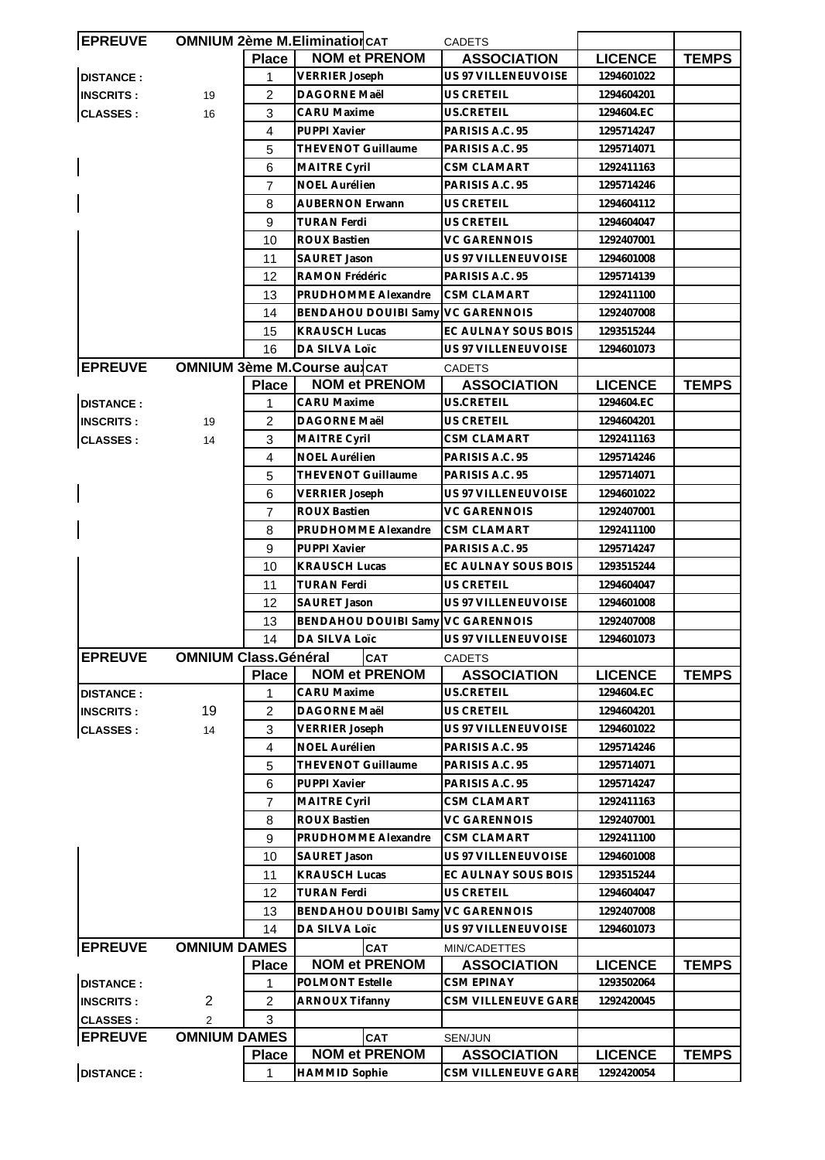| <b>EPREUVE</b>   |                             |                | <b>OMNIUM 2ème M.Elimination CAT</b> | <b>CADETS</b>              |                |              |
|------------------|-----------------------------|----------------|--------------------------------------|----------------------------|----------------|--------------|
|                  |                             | <b>Place</b>   | <b>NOM et PRENOM</b>                 | <b>ASSOCIATION</b>         | <b>LICENCE</b> | <b>TEMPS</b> |
| <b>DISTANCE:</b> |                             | 1              | <b>VERRIER Joseph</b>                | US 97 VILLENEUVOISE        | 1294601022     |              |
| <b>INSCRITS:</b> | 19                          | $\overline{2}$ | DAGORNE Maël                         | US CRETEIL                 | 1294604201     |              |
| <b>CLASSES:</b>  | 16                          | 3              | <b>CARU Maxime</b>                   | US.CRETEIL                 | 1294604.EC     |              |
|                  |                             | 4              | PUPPI Xavier                         | PARISIS A.C. 95            | 1295714247     |              |
|                  |                             | 5              | <b>THEVENOT Guillaume</b>            | PARISIS A.C. 95            | 1295714071     |              |
|                  |                             | 6              | MAITRE Cyril                         | <b>CSM CLAMART</b>         | 1292411163     |              |
|                  |                             | 7              | NOEL Aurélien                        | PARISIS A.C. 95            | 1295714246     |              |
|                  |                             | 8              | <b>AUBERNON Erwann</b>               | US CRETEIL                 | 1294604112     |              |
|                  |                             | 9              | <b>TURAN Ferdi</b>                   | <b>US CRETEIL</b>          | 1294604047     |              |
|                  |                             | 10             | <b>ROUX Bastien</b>                  | <b>VC GARENNOIS</b>        | 1292407001     |              |
|                  |                             | 11             | SAURET Jason                         | US 97 VILLENEUVOISE        | 1294601008     |              |
|                  |                             | 12             | RAMON Frédéric                       | PARISIS A.C. 95            | 1295714139     |              |
|                  |                             | 13             | PRUDHOMME Alexandre                  | <b>CSM CLAMART</b>         | 1292411100     |              |
|                  |                             | 14             | <b>BENDAHOU DOUIBI Samy</b>          | <b>VC GARENNOIS</b>        | 1292407008     |              |
|                  |                             | 15             | <b>KRAUSCH Lucas</b>                 | EC AULNAY SOUS BOIS        | 1293515244     |              |
|                  |                             |                |                                      |                            |                |              |
|                  |                             | 16             | DA SILVA Loïc                        | US 97 VILLENEUVOISE        | 1294601073     |              |
| <b>EPREUVE</b>   |                             |                | <b>OMNIUM 3ème M.Course au CAT</b>   | <b>CADETS</b>              |                |              |
|                  |                             | <b>Place</b>   | <b>NOM et PRENOM</b>                 | <b>ASSOCIATION</b>         | <b>LICENCE</b> | <b>TEMPS</b> |
| <b>DISTANCE:</b> |                             | 1              | <b>CARU Maxime</b>                   | US.CRETEIL                 | 1294604.EC     |              |
| <b>INSCRITS:</b> | 19                          | $\overline{2}$ | DAGORNE Maël                         | <b>US CRETEIL</b>          | 1294604201     |              |
| <b>CLASSES:</b>  | 14                          | 3              | <b>MAITRE Cyril</b>                  | <b>CSM CLAMART</b>         | 1292411163     |              |
|                  |                             | $\overline{4}$ | <b>NOEL Aurélien</b>                 | PARISIS A.C. 95            | 1295714246     |              |
|                  |                             | 5              | THEVENOT Guillaume                   | PARISIS A.C. 95            | 1295714071     |              |
|                  |                             | 6              | <b>VERRIER Joseph</b>                | US 97 VILLENEUVOISE        | 1294601022     |              |
|                  |                             | 7              | <b>ROUX Bastien</b>                  | <b>VC GARENNOIS</b>        | 1292407001     |              |
|                  |                             | 8              | PRUDHOMME Alexandre                  | <b>CSM CLAMART</b>         | 1292411100     |              |
|                  |                             | 9              | PUPPI Xavier                         | PARISIS A.C. 95            | 1295714247     |              |
|                  |                             | 10             | <b>KRAUSCH Lucas</b>                 | EC AULNAY SOUS BOIS        | 1293515244     |              |
|                  |                             | 11             | <b>TURAN Ferdi</b>                   | <b>US CRETEIL</b>          | 1294604047     |              |
|                  |                             | 12             | <b>SAURET Jason</b>                  | <b>US 97 VILLENEUVOISE</b> | 1294601008     |              |
|                  |                             | 13             | BENDAHOU DOUIBI Samy VC GARENNOIS    |                            | 1292407008     |              |
|                  |                             | 14             | DA SILVA Loïc                        | US 97 VILLENEUVOISE        | 1294601073     |              |
| <b>EPREUVE</b>   | <b>OMNIUM Class.Général</b> |                | <b>CAT</b>                           | <b>CADETS</b>              |                |              |
|                  |                             | <b>Place</b>   | <b>NOM et PRENOM</b>                 | <b>ASSOCIATION</b>         | <b>LICENCE</b> | <b>TEMPS</b> |
| <b>DISTANCE:</b> |                             | 1              | <b>CARU Maxime</b>                   | US.CRETEIL                 | 1294604.EC     |              |
| <b>INSCRITS:</b> | 19                          | 2              | <b>DAGORNE Maël</b>                  | <b>US CRETEIL</b>          | 1294604201     |              |
| <b>CLASSES:</b>  | 14                          | 3              | <b>VERRIER Joseph</b>                | US 97 VILLENEUVOISE        | 1294601022     |              |
|                  |                             | 4              | NOEL Aurélien                        | PARISIS A.C. 95            | 1295714246     |              |
|                  |                             | 5              | THEVENOT Guillaume                   | PARISIS A.C. 95            | 1295714071     |              |
|                  |                             | 6              | PUPPI Xavier                         | PARISIS A.C. 95            | 1295714247     |              |
|                  |                             | $\overline{7}$ | <b>MAITRE Cyril</b>                  | <b>CSM CLAMART</b>         | 1292411163     |              |
|                  |                             | 8              | <b>ROUX Bastien</b>                  | <b>VC GARENNOIS</b>        | 1292407001     |              |
|                  |                             | 9              | PRUDHOMME Alexandre                  | CSM CLAMART                | 1292411100     |              |
|                  |                             | 10             | SAURET Jason                         | US 97 VILLENEUVOISE        | 1294601008     |              |
|                  |                             | 11             | <b>KRAUSCH Lucas</b>                 | EC AULNAY SOUS BOIS        | 1293515244     |              |
|                  |                             | 12             | <b>TURAN Ferdi</b>                   | <b>US CRETEIL</b>          | 1294604047     |              |
|                  |                             | 13             | <b>BENDAHOU DOUIBI Samy</b>          | <b>VC GARENNOIS</b>        | 1292407008     |              |
|                  |                             |                |                                      |                            |                |              |
|                  |                             | 14             | DA SILVA Loïc                        | US 97 VILLENEUVOISE        | 1294601073     |              |
| <b>EPREUVE</b>   | <b>OMNIUM DAMES</b>         |                | <b>CAT</b>                           | MIN/CADETTES               |                |              |
|                  |                             | <b>Place</b>   | <b>NOM et PRENOM</b>                 | <b>ASSOCIATION</b>         | <b>LICENCE</b> | <b>TEMPS</b> |
| <b>DISTANCE:</b> |                             | 1              | POLMONT Estelle                      | <b>CSM EPINAY</b>          | 1293502064     |              |
| <b>INSCRITS:</b> | 2                           | 2              | <b>ARNOUX Tifanny</b>                | <b>CSM VILLENEUVE GARE</b> | 1292420045     |              |
| <b>CLASSES:</b>  | 2                           | 3              |                                      |                            |                |              |
| <b>EPREUVE</b>   | <b>OMNIUM DAMES</b>         |                | <b>CAT</b>                           | SEN/JUN                    |                |              |
|                  |                             | <b>Place</b>   | <b>NOM et PRENOM</b>                 | <b>ASSOCIATION</b>         | <b>LICENCE</b> | <b>TEMPS</b> |
| <b>DISTANCE:</b> |                             | 1              | <b>HAMMID Sophie</b>                 | CSM VILLENEUVE GARE        | 1292420054     |              |